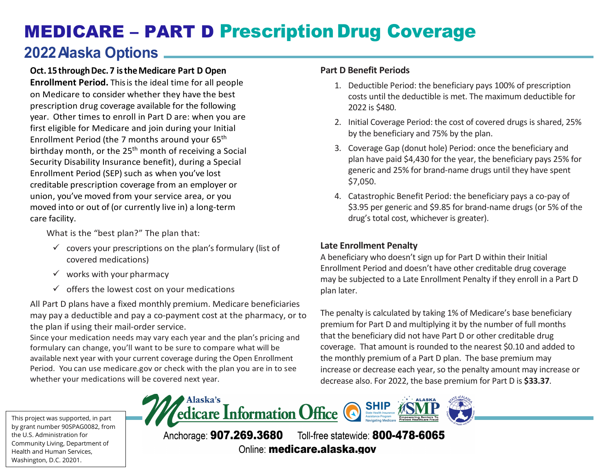# MEDICARE – PART D Prescription Drug Coverage

## **2022 Alaska Options**

### **Oct. 15 through Dec. 7 is the Medicare Part D Open**

 year. Other times to enroll in Part D are: when you are first eligible for Medicare and join during your Initial Enrollment Period (SEP) such as when you've lost union, you've moved from your service area, or you moved into or out of (or currently live in) a long-term **Enrollment Period.** This is the ideal time for all people on Medicare to consider whether they have the best prescription drug coverage available for the following Enrollment Period (the 7 months around your 65th birthday month, or the  $25<sup>th</sup>$  month of receiving a Social Security Disability Insurance benefit), during a Special creditable prescription coverage from an employer or care facility.

What is the "best plan?" The plan that:

- $\checkmark$  covers your prescriptions on the plan's formulary (list of covered medications)
- $\checkmark$  works with your pharmacy
- $\checkmark$  offers the lowest cost on your medications

All Part D plans have a fixed monthly premium. Medicare beneficiaries may pay a deductible and pay a co-payment cost at the pharmacy, or to the plan if using their mail-order service.

 Since your medication needs may vary each year and the plan's pricing and Period. You can use [medicare.gov](https://medicare.gov) or check with the plan you are in to see whether your medications will be covered next year. formulary can change, you'll want to be sure to compare what will be available next year with your current coverage during the Open Enrollment

#### **Part D Benefit Periods**

- 1. Deductible Period: the beneficiary pays 100% of prescription costs until the deductible is met. The maximum deductible for 2022 is \$480.
- 2. Initial Coverage Period: the cost of covered drugs is shared, 25% by the beneficiary and 75% by the plan.
- 3. Coverage Gap (donut hole) Period: once the beneficiary and plan have paid \$4,430 for the year, the beneficiary pays 25% for generic and 25% for brand-name drugs until they have spent \$7,050.
- 4. Catastrophic Benefit Period: the beneficiary pays a co-pay of \$3.95 per generic and \$9.85 for brand-name drugs (or 5% of the drug's total cost, whichever is greater).

#### **Late Enrollment Penalty**

A beneficiary who doesn't sign up for Part D within their Initial Enrollment Period and doesn't have other creditable drug coverage may be subjected to a Late Enrollment Penalty if they enroll in a Part D plan later.

The penalty is calculated by taking 1% of Medicare's base beneficiary premium for Part D and multiplying it by the number of full months that the beneficiary did not have Part D or other creditable drug coverage. That amount is rounded to the nearest \$0.10 and added to the monthly premium of a Part D plan. The base premium may increase or decrease each year, so the penalty amount may increase or decrease also. For 2022, the base premium for Part D is **\$33.37**.

This project was supported, in part by grant number 90SPAG0082, from the U.S. Administration for Community Living, Department of Health and Human Services, Washington, D.C. 20201.



Anchorage: 907.269.3680 Toll-free statewide: 800-478-6065 Online: medicare.alaska.gov